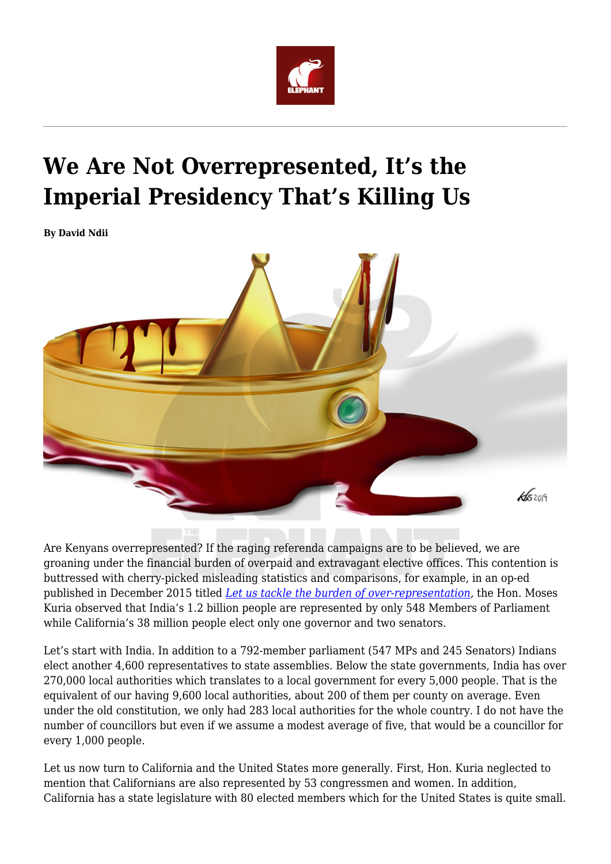

## **We Are Not Overrepresented, It's the Imperial Presidency That's Killing Us**

**By David Ndii**



Are Kenyans overrepresented? If the raging referenda campaigns are to be believed, we are groaning under the financial burden of overpaid and extravagant elective offices. This contention is buttressed with cherry-picked misleading statistics and comparisons, for example, in an op-ed published in December 2015 titled *[Let us tackle the burden of over-representation,](https://www.nation.co.ke/oped/opinion/Let-us-tackle-the-burden-of-over-representation/440808-2984976-vfr6nt/index.html)* the Hon. Moses Kuria observed that India's 1.2 billion people are represented by only 548 Members of Parliament while California's 38 million people elect only one governor and two senators.

Let's start with India. In addition to a 792-member parliament (547 MPs and 245 Senators) Indians elect another 4,600 representatives to state assemblies. Below the state governments, India has over 270,000 local authorities which translates to a local government for every 5,000 people. That is the equivalent of our having 9,600 local authorities, about 200 of them per county on average. Even under the old constitution, we only had 283 local authorities for the whole country. I do not have the number of councillors but even if we assume a modest average of five, that would be a councillor for every 1,000 people.

Let us now turn to California and the United States more generally. First, Hon. Kuria neglected to mention that Californians are also represented by 53 congressmen and women. In addition, California has a state legislature with 80 elected members which for the United States is quite small.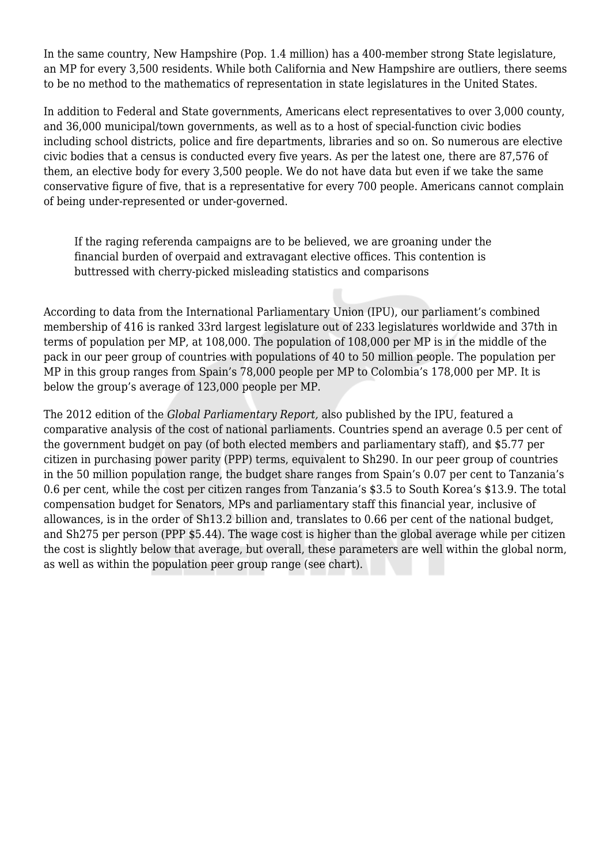In the same country, New Hampshire (Pop. 1.4 million) has a 400-member strong State legislature, an MP for every 3,500 residents. While both California and New Hampshire are outliers, there seems to be no method to the mathematics of representation in state legislatures in the United States.

In addition to Federal and State governments, Americans elect representatives to over 3,000 county, and 36,000 municipal/town governments, as well as to a host of special-function civic bodies including school districts, police and fire departments, libraries and so on. So numerous are elective civic bodies that a census is conducted every five years. As per the latest one, there are 87,576 of them, an elective body for every 3,500 people. We do not have data but even if we take the same conservative figure of five, that is a representative for every 700 people. Americans cannot complain of being under-represented or under-governed.

If the raging referenda campaigns are to be believed, we are groaning under the financial burden of overpaid and extravagant elective offices. This contention is buttressed with cherry-picked misleading statistics and comparisons

According to data from the International Parliamentary Union (IPU), our parliament's combined membership of 416 is ranked 33rd largest legislature out of 233 legislatures worldwide and 37th in terms of population per MP, at 108,000. The population of 108,000 per MP is in the middle of the pack in our peer group of countries with populations of 40 to 50 million people. The population per MP in this group ranges from Spain's 78,000 people per MP to Colombia's 178,000 per MP. It is below the group's average of 123,000 people per MP.

The 2012 edition of the *Global Parliamentary Report,* also published by the IPU, featured a comparative analysis of the cost of national parliaments. Countries spend an average 0.5 per cent of the government budget on pay (of both elected members and parliamentary staff), and \$5.77 per citizen in purchasing power parity (PPP) terms, equivalent to Sh290. In our peer group of countries in the 50 million population range, the budget share ranges from Spain's 0.07 per cent to Tanzania's 0.6 per cent, while the cost per citizen ranges from Tanzania's \$3.5 to South Korea's \$13.9. The total compensation budget for Senators, MPs and parliamentary staff this financial year, inclusive of allowances, is in the order of Sh13.2 billion and, translates to 0.66 per cent of the national budget, and Sh275 per person (PPP \$5.44). The wage cost is higher than the global average while per citizen the cost is slightly below that average, but overall, these parameters are well within the global norm, as well as within the population peer group range (see chart).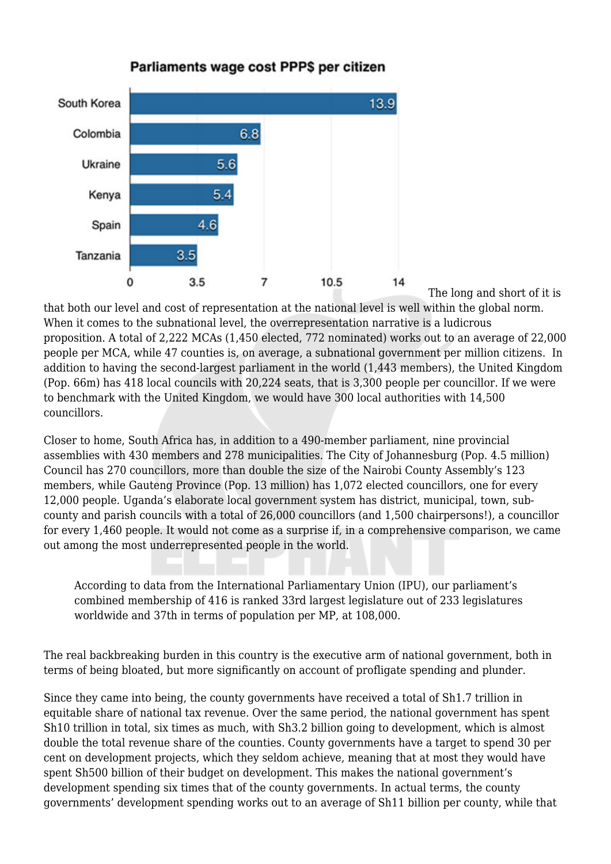## Parliaments wage cost PPP\$ per citizen South Korea  $13.9$



The long and short of it is

that both our level and cost of representation at the national level is well within the global norm. When it comes to the subnational level, the overrepresentation narrative is a ludicrous proposition. A total of 2,222 MCAs (1,450 elected, 772 nominated) works out to an average of 22,000 people per MCA, while 47 counties is, on average, a subnational government per million citizens. In addition to having the second-largest parliament in the world (1,443 members), the United Kingdom (Pop. 66m) has 418 local councils with 20,224 seats, that is 3,300 people per councillor. If we were to benchmark with the United Kingdom, we would have 300 local authorities with 14,500 councillors.

Closer to home, South Africa has, in addition to a 490-member parliament, nine provincial assemblies with 430 members and 278 municipalities. The City of Johannesburg (Pop. 4.5 million) Council has 270 councillors, more than double the size of the Nairobi County Assembly's 123 members, while Gauteng Province (Pop. 13 million) has 1,072 elected councillors, one for every 12,000 people. Uganda's elaborate local government system has district, municipal, town, subcounty and parish councils with a total of 26,000 councillors (and 1,500 chairpersons!), a councillor for every 1,460 people. It would not come as a surprise if, in a comprehensive comparison, we came out among the most underrepresented people in the world.

According to data from the International Parliamentary Union (IPU), our parliament's combined membership of 416 is ranked 33rd largest legislature out of 233 legislatures worldwide and 37th in terms of population per MP, at 108,000.

The real backbreaking burden in this country is the executive arm of national government, both in terms of being bloated, but more significantly on account of profligate spending and plunder.

Since they came into being, the county governments have received a total of Sh1.7 trillion in equitable share of national tax revenue. Over the same period, the national government has spent Sh10 trillion in total, six times as much, with Sh3.2 billion going to development, which is almost double the total revenue share of the counties. County governments have a target to spend 30 per cent on development projects, which they seldom achieve, meaning that at most they would have spent Sh500 billion of their budget on development. This makes the national government's development spending six times that of the county governments. In actual terms, the county governments' development spending works out to an average of Sh11 billion per county, while that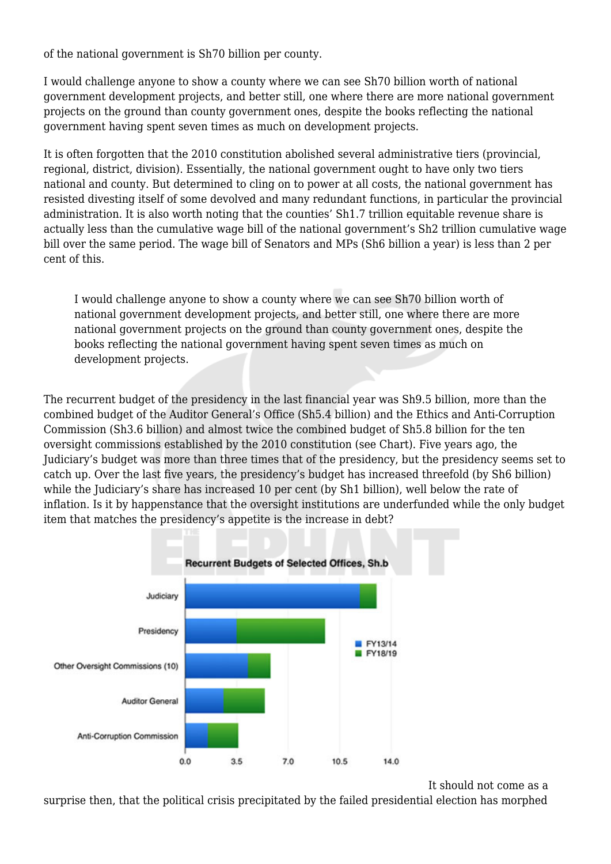of the national government is Sh70 billion per county.

I would challenge anyone to show a county where we can see Sh70 billion worth of national government development projects, and better still, one where there are more national government projects on the ground than county government ones, despite the books reflecting the national government having spent seven times as much on development projects.

It is often forgotten that the 2010 constitution abolished several administrative tiers (provincial, regional, district, division). Essentially, the national government ought to have only two tiers national and county. But determined to cling on to power at all costs, the national government has resisted divesting itself of some devolved and many redundant functions, in particular the provincial administration. It is also worth noting that the counties' Sh1.7 trillion equitable revenue share is actually less than the cumulative wage bill of the national government's Sh2 trillion cumulative wage bill over the same period. The wage bill of Senators and MPs (Sh6 billion a year) is less than 2 per cent of this.

I would challenge anyone to show a county where we can see Sh70 billion worth of national government development projects, and better still, one where there are more national government projects on the ground than county government ones, despite the books reflecting the national government having spent seven times as much on development projects.

The recurrent budget of the presidency in the last financial year was Sh9.5 billion, more than the combined budget of the Auditor General's Office (Sh5.4 billion) and the Ethics and Anti-Corruption Commission (Sh3.6 billion) and almost twice the combined budget of Sh5.8 billion for the ten oversight commissions established by the 2010 constitution (see Chart). Five years ago, the Judiciary's budget was more than three times that of the presidency, but the presidency seems set to catch up. Over the last five years, the presidency's budget has increased threefold (by Sh6 billion) while the Judiciary's share has increased 10 per cent (by Sh1 billion), well below the rate of inflation. Is it by happenstance that the oversight institutions are underfunded while the only budget item that matches the presidency's appetite is the increase in debt?



It should not come as a

surprise then, that the political crisis precipitated by the failed presidential election has morphed